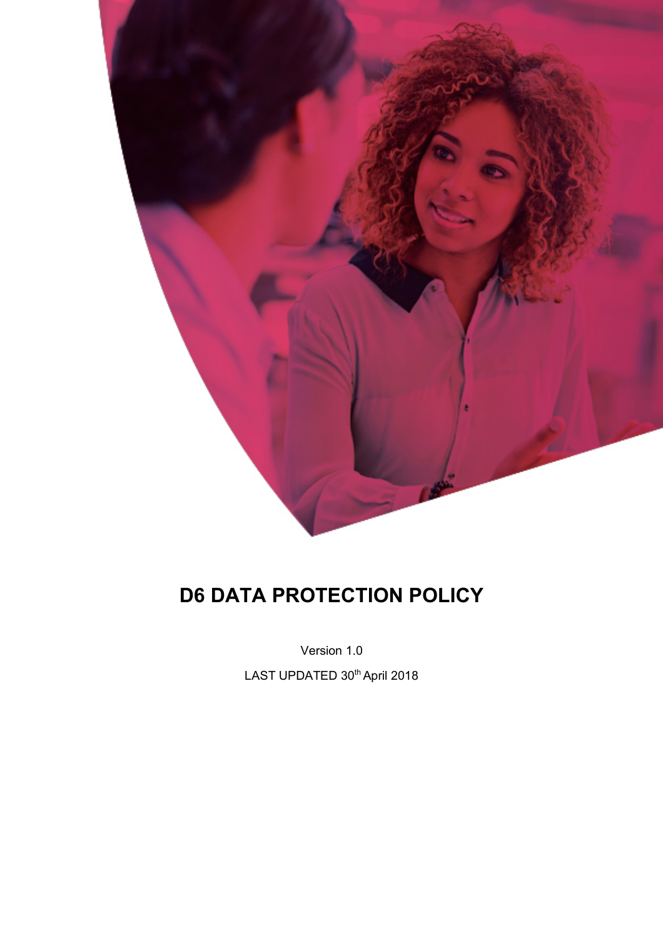

# **D6 DATA PROTECTION POLICY**

Version 1.0

LAST UPDATED 30<sup>th</sup> April 2018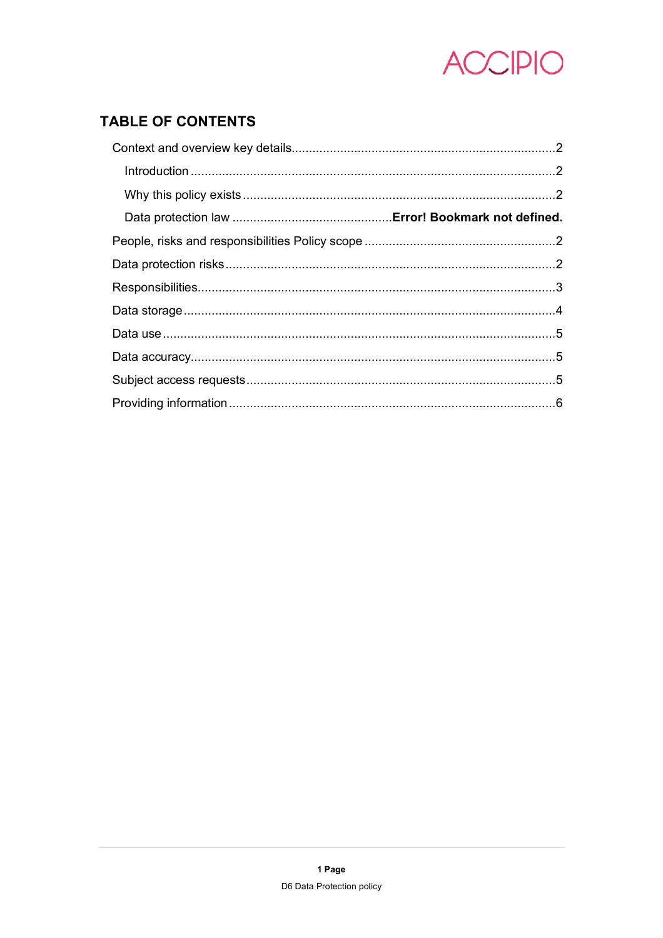

# **TABLE OF CONTENTS**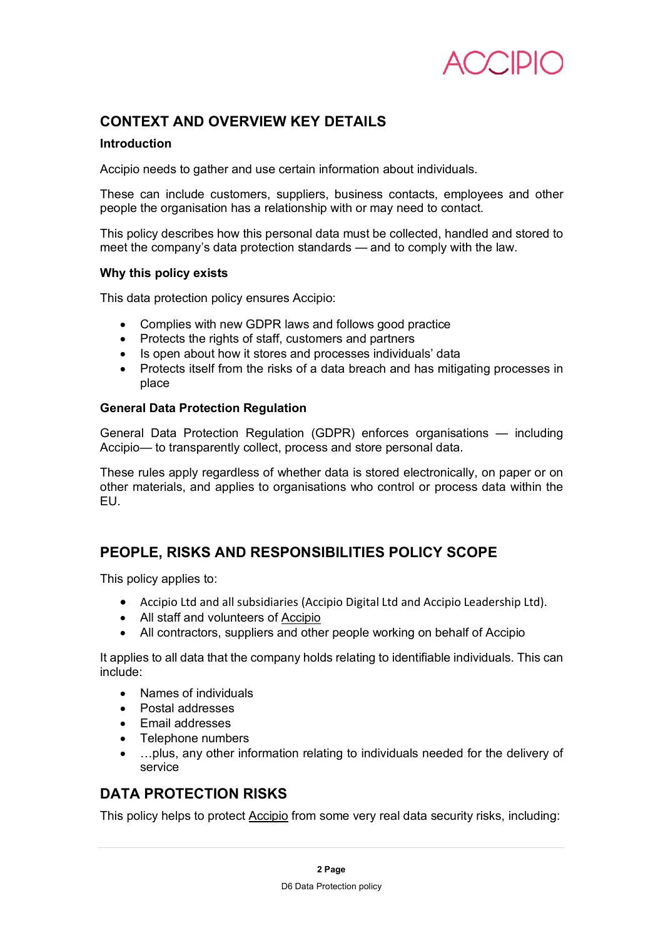

## **CONTEXT AND OVERVIEW KEY DETAILS**

#### **Introduction**

Accipio needs to gather and use certain information about individuals.

These can include customers, suppliers, business contacts, employees and other people the organisation has a relationship with or may need to contact.

This policy describes how this personal data must be collected, handled and stored to meet the company's data protection standards — and to comply with the law.

#### **Why this policy exists**

This data protection policy ensures Accipio:

- Complies with new GDPR laws and follows good practice
- Protects the rights of staff, customers and partners
- Is open about how it stores and processes individuals' data
- Protects itself from the risks of a data breach and has mitigating processes in place

#### **General Data Protection Regulation**

General Data Protection Regulation (GDPR) enforces organisations — including Accipio— to transparently collect, process and store personal data.

These rules apply regardless of whether data is stored electronically, on paper or on other materials, and applies to organisations who control or process data within the EU.

#### **PEOPLE, RISKS AND RESPONSIBILITIES POLICY SCOPE**

This policy applies to:

- Accipio Ltd and all subsidiaries (Accipio Digital Ltd and Accipio Leadership Ltd).
- All staff and volunteers of Accipio
- All contractors, suppliers and other people working on behalf of Accipio

It applies to all data that the company holds relating to identifiable individuals. This can include:

- Names of individuals
- Postal addresses
- Email addresses
- Telephone numbers
- …plus, any other information relating to individuals needed for the delivery of service

#### **DATA PROTECTION RISKS**

This policy helps to protect Accipio from some very real data security risks, including: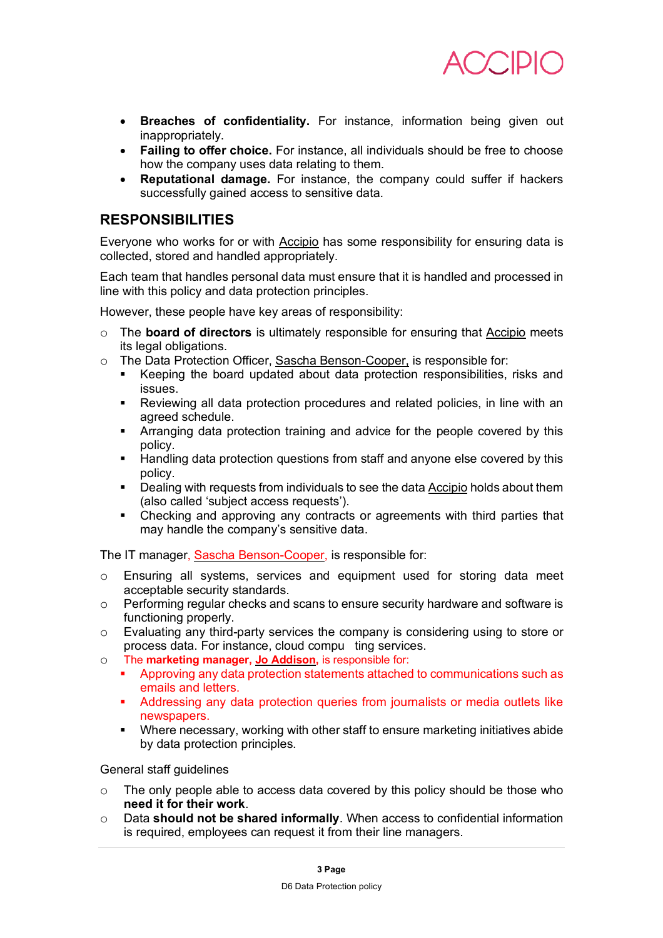

- **Breaches of confidentiality.** For instance, information being given out inappropriately.
- **Failing to offer choice.** For instance, all individuals should be free to choose how the company uses data relating to them.
- **Reputational damage.** For instance, the company could suffer if hackers successfully gained access to sensitive data.

#### **RESPONSIBILITIES**

Everyone who works for or with Accipio has some responsibility for ensuring data is collected, stored and handled appropriately.

Each team that handles personal data must ensure that it is handled and processed in line with this policy and data protection principles.

However, these people have key areas of responsibility:

- o The **board of directors** is ultimately responsible for ensuring that Accipio meets its legal obligations.
- o The Data Protection Officer, Sascha Benson-Cooper, is responsible for:
	- § Keeping the board updated about data protection responsibilities, risks and issues.
	- § Reviewing all data protection procedures and related policies, in line with an agreed schedule.
	- Arranging data protection training and advice for the people covered by this policy.
	- **Handling data protection questions from staff and anyone else covered by this** policy.
	- **•** Dealing with requests from individuals to see the data Accipio holds about them (also called 'subject access requests').
	- Checking and approving any contracts or agreements with third parties that may handle the company's sensitive data.

The IT manager, Sascha Benson-Cooper, is responsible for:

- o Ensuring all systems, services and equipment used for storing data meet acceptable security standards.
- o Performing regular checks and scans to ensure security hardware and software is functioning properly.
- o Evaluating any third-party services the company is considering using to store or process data. For instance, cloud compu ting services.
- o The **marketing manager, Jo Addison,** is responsible for:
	- § Approving any data protection statements attached to communications such as emails and letters.
	- § Addressing any data protection queries from journalists or media outlets like newspapers.
	- Where necessary, working with other staff to ensure marketing initiatives abide by data protection principles.

General staff guidelines

- $\circ$  The only people able to access data covered by this policy should be those who **need it for their work**.
- o Data **should not be shared informally**. When access to confidential information is required, employees can request it from their line managers.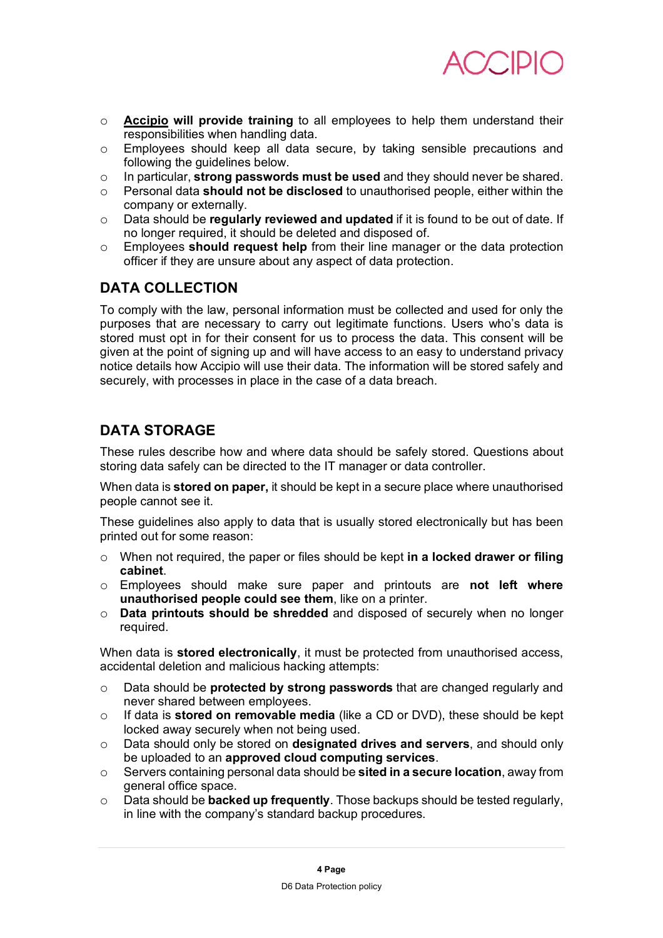

- o **Accipio will provide training** to all employees to help them understand their responsibilities when handling data.
- o Employees should keep all data secure, by taking sensible precautions and following the guidelines below.
- o In particular, **strong passwords must be used** and they should never be shared.
- o Personal data **should not be disclosed** to unauthorised people, either within the company or externally.
- o Data should be **regularly reviewed and updated** if it is found to be out of date. If no longer required, it should be deleted and disposed of.
- o Employees **should request help** from their line manager or the data protection officer if they are unsure about any aspect of data protection.

### **DATA COLLECTION**

To comply with the law, personal information must be collected and used for only the purposes that are necessary to carry out legitimate functions. Users who's data is stored must opt in for their consent for us to process the data. This consent will be given at the point of signing up and will have access to an easy to understand privacy notice details how Accipio will use their data. The information will be stored safely and securely, with processes in place in the case of a data breach.

## **DATA STORAGE**

These rules describe how and where data should be safely stored. Questions about storing data safely can be directed to the IT manager or data controller.

When data is **stored on paper,** it should be kept in a secure place where unauthorised people cannot see it.

These guidelines also apply to data that is usually stored electronically but has been printed out for some reason:

- o When not required, the paper or files should be kept **in a locked drawer or filing cabinet**.
- o Employees should make sure paper and printouts are **not left where unauthorised people could see them**, like on a printer.
- o **Data printouts should be shredded** and disposed of securely when no longer required.

When data is **stored electronically**, it must be protected from unauthorised access, accidental deletion and malicious hacking attempts:

- o Data should be **protected by strong passwords** that are changed regularly and never shared between employees.
- o If data is **stored on removable media** (like a CD or DVD), these should be kept locked away securely when not being used.
- o Data should only be stored on **designated drives and servers**, and should only be uploaded to an **approved cloud computing services**.
- o Servers containing personal data should be **sited in a secure location**, away from general office space.
- o Data should be **backed up frequently**. Those backups should be tested regularly, in line with the company's standard backup procedures.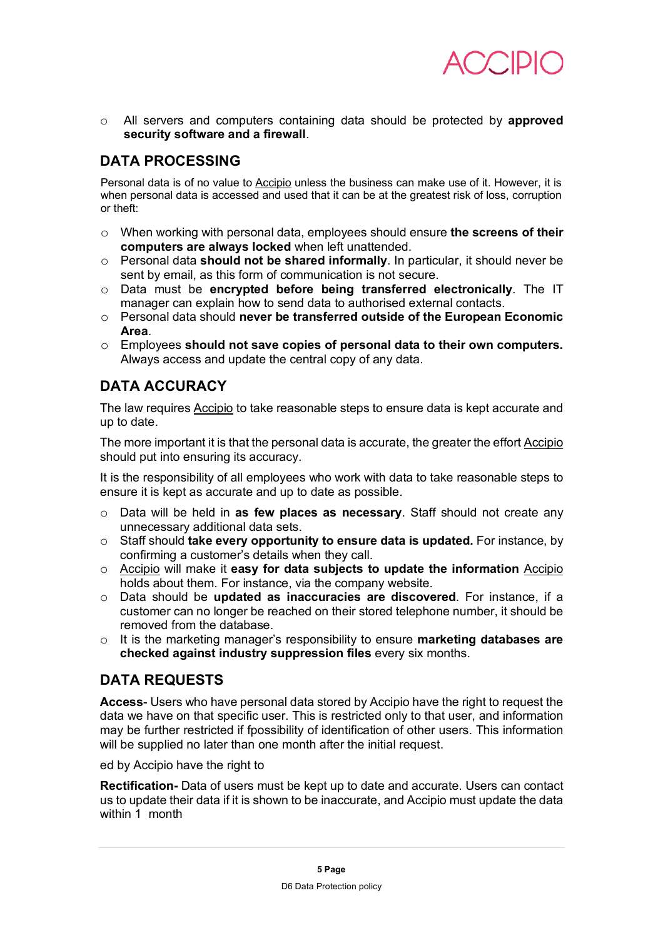

o All servers and computers containing data should be protected by **approved security software and a firewall**.

# **DATA PROCESSING**

Personal data is of no value to Accipio unless the business can make use of it. However, it is when personal data is accessed and used that it can be at the greatest risk of loss, corruption or theft:

- o When working with personal data, employees should ensure **the screens of their computers are always locked** when left unattended.
- o Personal data **should not be shared informally**. In particular, it should never be sent by email, as this form of communication is not secure.
- o Data must be **encrypted before being transferred electronically**. The IT manager can explain how to send data to authorised external contacts.
- o Personal data should **never be transferred outside of the European Economic Area**.
- o Employees **should not save copies of personal data to their own computers.**  Always access and update the central copy of any data.

## **DATA ACCURACY**

The law requires Accipio to take reasonable steps to ensure data is kept accurate and up to date.

The more important it is that the personal data is accurate, the greater the effort Accipio should put into ensuring its accuracy.

It is the responsibility of all employees who work with data to take reasonable steps to ensure it is kept as accurate and up to date as possible.

- o Data will be held in **as few places as necessary**. Staff should not create any unnecessary additional data sets.
- o Staff should **take every opportunity to ensure data is updated.** For instance, by confirming a customer's details when they call.
- o Accipio will make it **easy for data subjects to update the information** Accipio holds about them. For instance, via the company website.
- o Data should be **updated as inaccuracies are discovered**. For instance, if a customer can no longer be reached on their stored telephone number, it should be removed from the database.
- o It is the marketing manager's responsibility to ensure **marketing databases are checked against industry suppression files** every six months.

#### **DATA REQUESTS**

**Access**- Users who have personal data stored by Accipio have the right to request the data we have on that specific user. This is restricted only to that user, and information may be further restricted if fpossibility of identification of other users. This information will be supplied no later than one month after the initial request.

ed by Accipio have the right to

**Rectification-** Data of users must be kept up to date and accurate. Users can contact us to update their data if it is shown to be inaccurate, and Accipio must update the data within 1 month